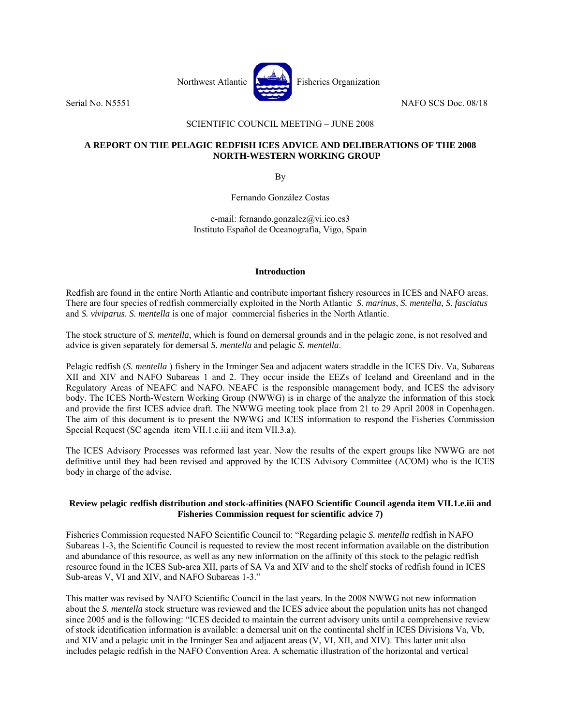

# SCIENTIFIC COUNCIL MEETING – JUNE 2008

# **A REPORT ON THE PELAGIC REDFISH ICES ADVICE AND DELIBERATIONS OF THE 2008 NORTH-WESTERN WORKING GROUP**

By

Fernando González Costas

e-mail: fernando.gonzalez@vi.ieo.es3 Instituto Español de Oceanografìa, Vigo, Spain

## **Introduction**

Redfish are found in the entire North Atlantic and contribute important fishery resources in ICES and NAFO areas. There are four species of redfish commercially exploited in the North Atlantic *S. marinus*, *S. mentella, S. fasciatus* and *S. viviparus*. *S. mentella* is one of major commercial fisheries in the North Atlantic.

The stock structure of *S. mentella*, which is found on demersal grounds and in the pelagic zone, is not resolved and advice is given separately for demersal *S. mentella* and pelagic *S. mentella*.

Pelagic redfish (*S. mentella* ) fishery in the Irminger Sea and adjacent waters straddle in the ICES Div. Va, Subareas XII and XIV and NAFO Subareas 1 and 2. They occur inside the EEZs of Iceland and Greenland and in the Regulatory Areas of NEAFC and NAFO. NEAFC is the responsible management body, and ICES the advisory body. The ICES North-Western Working Group (NWWG) is in charge of the analyze the information of this stock and provide the first ICES advice draft. The NWWG meeting took place from 21 to 29 April 2008 in Copenhagen. The aim of this document is to present the NWWG and ICES information to respond the Fisheries Commission Special Request (SC agenda item VII.1.e.iii and item VII.3.a).

The ICES Advisory Processes was reformed last year. Now the results of the expert groups like NWWG are not definitive until they had been revised and approved by the ICES Advisory Committee (ACOM) who is the ICES body in charge of the advise.

# **Review pelagic redfish distribution and stock-affinities (NAFO Scientific Council agenda item VII.1.e.iii and Fisheries Commission request for scientific advice 7)**

Fisheries Commission requested NAFO Scientific Council to: "Regarding pelagic *S. mentella* redfish in NAFO Subareas 1-3, the Scientific Council is requested to review the most recent information available on the distribution and abundance of this resource, as well as any new information on the affinity of this stock to the pelagic redfish resource found in the ICES Sub-area XII, parts of SA Va and XIV and to the shelf stocks of redfish found in ICES Sub-areas V, VI and XIV, and NAFO Subareas 1-3."

This matter was revised by NAFO Scientific Council in the last years. In the 2008 NWWG not new information about the *S. mentella* stock structure was reviewed and the ICES advice about the population units has not changed since 2005 and is the following: "ICES decided to maintain the current advisory units until a comprehensive review of stock identification information is available: a demersal unit on the continental shelf in ICES Divisions Va, Vb, and XIV and a pelagic unit in the Irminger Sea and adjacent areas (V, VI, XII, and XIV). This latter unit also includes pelagic redfish in the NAFO Convention Area. A schematic illustration of the horizontal and vertical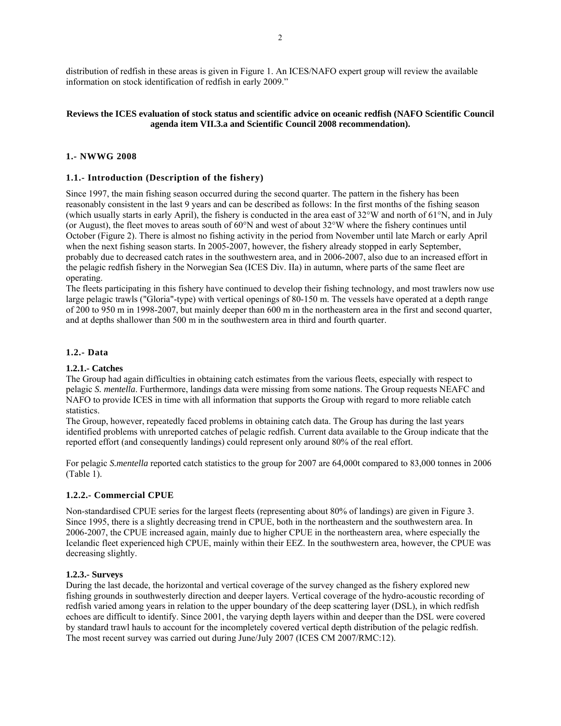distribution of redfish in these areas is given in Figure 1. An ICES/NAFO expert group will review the available information on stock identification of redfish in early 2009."

# **Reviews the ICES evaluation of stock status and scientific advice on oceanic redfish (NAFO Scientific Council agenda item VII.3.a and Scientific Council 2008 recommendation).**

# **1.- NWWG 2008**

## **1.1.- Introduction (Description of the fishery)**

Since 1997, the main fishing season occurred during the second quarter. The pattern in the fishery has been reasonably consistent in the last 9 years and can be described as follows: In the first months of the fishing season (which usually starts in early April), the fishery is conducted in the area east of 32°W and north of 61°N, and in July (or August), the fleet moves to areas south of  $60^{\circ}$ N and west of about 32 $^{\circ}$ W where the fishery continues until October (Figure 2). There is almost no fishing activity in the period from November until late March or early April when the next fishing season starts. In 2005-2007, however, the fishery already stopped in early September, probably due to decreased catch rates in the southwestern area, and in 2006-2007, also due to an increased effort in the pelagic redfish fishery in the Norwegian Sea (ICES Div. IIa) in autumn, where parts of the same fleet are operating.

The fleets participating in this fishery have continued to develop their fishing technology, and most trawlers now use large pelagic trawls ("Gloria"-type) with vertical openings of 80-150 m. The vessels have operated at a depth range of 200 to 950 m in 1998-2007, but mainly deeper than 600 m in the northeastern area in the first and second quarter, and at depths shallower than 500 m in the southwestern area in third and fourth quarter.

## **1.2.- Data**

## **1.2.1.- Catches**

The Group had again difficulties in obtaining catch estimates from the various fleets, especially with respect to pelagic *S. mentella*. Furthermore, landings data were missing from some nations. The Group requests NEAFC and NAFO to provide ICES in time with all information that supports the Group with regard to more reliable catch statistics.

The Group, however, repeatedly faced problems in obtaining catch data. The Group has during the last years identified problems with unreported catches of pelagic redfish. Current data available to the Group indicate that the reported effort (and consequently landings) could represent only around 80% of the real effort.

For pelagic *S.mentella* reported catch statistics to the group for 2007 are 64,000t compared to 83,000 tonnes in 2006 (Table 1).

#### **1.2.2.- Commercial CPUE**

Non-standardised CPUE series for the largest fleets (representing about 80% of landings) are given in Figure 3. Since 1995, there is a slightly decreasing trend in CPUE, both in the northeastern and the southwestern area. In 2006-2007, the CPUE increased again, mainly due to higher CPUE in the northeastern area, where especially the Icelandic fleet experienced high CPUE, mainly within their EEZ. In the southwestern area, however, the CPUE was decreasing slightly.

# **1.2.3.- Surveys**

During the last decade, the horizontal and vertical coverage of the survey changed as the fishery explored new fishing grounds in southwesterly direction and deeper layers. Vertical coverage of the hydro-acoustic recording of redfish varied among years in relation to the upper boundary of the deep scattering layer (DSL), in which redfish echoes are difficult to identify. Since 2001, the varying depth layers within and deeper than the DSL were covered by standard trawl hauls to account for the incompletely covered vertical depth distribution of the pelagic redfish. The most recent survey was carried out during June/July 2007 (ICES CM 2007/RMC:12).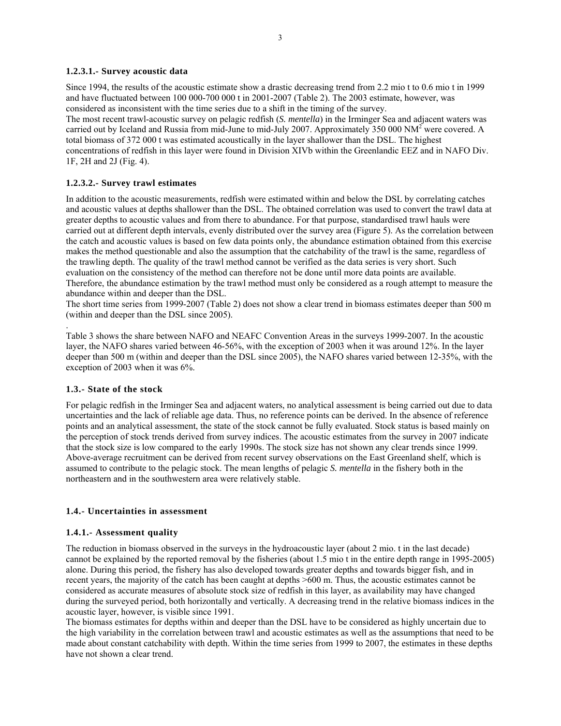### **1.2.3.1.- Survey acoustic data**

Since 1994, the results of the acoustic estimate show a drastic decreasing trend from 2.2 mio t to 0.6 mio t in 1999 and have fluctuated between 100 000-700 000 t in 2001-2007 (Table 2). The 2003 estimate, however, was considered as inconsistent with the time series due to a shift in the timing of the survey.

The most recent trawl-acoustic survey on pelagic redfish (*S. mentella*) in the Irminger Sea and adjacent waters was carried out by Iceland and Russia from mid-June to mid-July 2007. Approximately 350 000 NM<sup>2</sup> were covered. A total biomass of 372 000 t was estimated acoustically in the layer shallower than the DSL. The highest concentrations of redfish in this layer were found in Division XIVb within the Greenlandic EEZ and in NAFO Div. 1F, 2H and 2J (Fig. 4).

## **1.2.3.2.- Survey trawl estimates**

In addition to the acoustic measurements, redfish were estimated within and below the DSL by correlating catches and acoustic values at depths shallower than the DSL. The obtained correlation was used to convert the trawl data at greater depths to acoustic values and from there to abundance. For that purpose, standardised trawl hauls were carried out at different depth intervals, evenly distributed over the survey area (Figure 5). As the correlation between the catch and acoustic values is based on few data points only, the abundance estimation obtained from this exercise makes the method questionable and also the assumption that the catchability of the trawl is the same, regardless of the trawling depth. The quality of the trawl method cannot be verified as the data series is very short. Such evaluation on the consistency of the method can therefore not be done until more data points are available. Therefore, the abundance estimation by the trawl method must only be considered as a rough attempt to measure the abundance within and deeper than the DSL.

The short time series from 1999-2007 (Table 2) does not show a clear trend in biomass estimates deeper than 500 m (within and deeper than the DSL since 2005).

Table 3 shows the share between NAFO and NEAFC Convention Areas in the surveys 1999-2007. In the acoustic layer, the NAFO shares varied between 46-56%, with the exception of 2003 when it was around 12%. In the layer deeper than 500 m (within and deeper than the DSL since 2005), the NAFO shares varied between 12-35%, with the exception of 2003 when it was 6%.

# **1.3.- State of the stock**

.

For pelagic redfish in the Irminger Sea and adjacent waters, no analytical assessment is being carried out due to data uncertainties and the lack of reliable age data. Thus, no reference points can be derived. In the absence of reference points and an analytical assessment, the state of the stock cannot be fully evaluated. Stock status is based mainly on the perception of stock trends derived from survey indices. The acoustic estimates from the survey in 2007 indicate that the stock size is low compared to the early 1990s. The stock size has not shown any clear trends since 1999. Above-average recruitment can be derived from recent survey observations on the East Greenland shelf, which is assumed to contribute to the pelagic stock. The mean lengths of pelagic *S. mentella* in the fishery both in the northeastern and in the southwestern area were relatively stable.

# **1.4.- Uncertainties in assessment**

#### **1.4.1.- Assessment quality**

The reduction in biomass observed in the surveys in the hydroacoustic layer (about 2 mio. t in the last decade) cannot be explained by the reported removal by the fisheries (about 1.5 mio t in the entire depth range in 1995-2005) alone. During this period, the fishery has also developed towards greater depths and towards bigger fish, and in recent years, the majority of the catch has been caught at depths >600 m. Thus, the acoustic estimates cannot be considered as accurate measures of absolute stock size of redfish in this layer, as availability may have changed during the surveyed period, both horizontally and vertically. A decreasing trend in the relative biomass indices in the acoustic layer, however, is visible since 1991.

The biomass estimates for depths within and deeper than the DSL have to be considered as highly uncertain due to the high variability in the correlation between trawl and acoustic estimates as well as the assumptions that need to be made about constant catchability with depth. Within the time series from 1999 to 2007, the estimates in these depths have not shown a clear trend.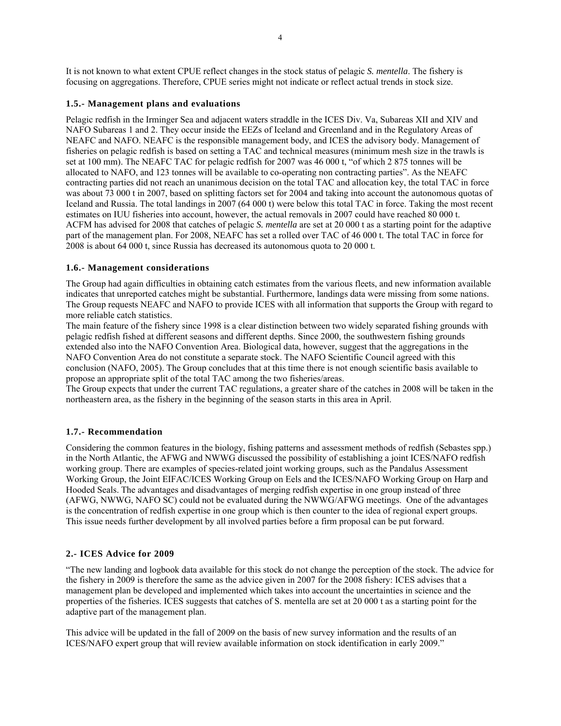It is not known to what extent CPUE reflect changes in the stock status of pelagic *S. mentella*. The fishery is focusing on aggregations. Therefore, CPUE series might not indicate or reflect actual trends in stock size.

## **1.5.- Management plans and evaluations**

Pelagic redfish in the Irminger Sea and adjacent waters straddle in the ICES Div. Va, Subareas XII and XIV and NAFO Subareas 1 and 2. They occur inside the EEZs of Iceland and Greenland and in the Regulatory Areas of NEAFC and NAFO. NEAFC is the responsible management body, and ICES the advisory body. Management of fisheries on pelagic redfish is based on setting a TAC and technical measures (minimum mesh size in the trawls is set at 100 mm). The NEAFC TAC for pelagic redfish for 2007 was 46 000 t, "of which 2 875 tonnes will be allocated to NAFO, and 123 tonnes will be available to co-operating non contracting parties". As the NEAFC contracting parties did not reach an unanimous decision on the total TAC and allocation key, the total TAC in force was about 73 000 t in 2007, based on splitting factors set for 2004 and taking into account the autonomous quotas of Iceland and Russia. The total landings in 2007 (64 000 t) were below this total TAC in force. Taking the most recent estimates on IUU fisheries into account, however, the actual removals in 2007 could have reached 80 000 t. ACFM has advised for 2008 that catches of pelagic *S. mentella* are set at 20 000 t as a starting point for the adaptive part of the management plan. For 2008, NEAFC has set a rolled over TAC of 46 000 t. The total TAC in force for 2008 is about 64 000 t, since Russia has decreased its autonomous quota to 20 000 t.

## **1.6.- Management considerations**

The Group had again difficulties in obtaining catch estimates from the various fleets, and new information available indicates that unreported catches might be substantial. Furthermore, landings data were missing from some nations. The Group requests NEAFC and NAFO to provide ICES with all information that supports the Group with regard to more reliable catch statistics.

The main feature of the fishery since 1998 is a clear distinction between two widely separated fishing grounds with pelagic redfish fished at different seasons and different depths. Since 2000, the southwestern fishing grounds extended also into the NAFO Convention Area. Biological data, however, suggest that the aggregations in the NAFO Convention Area do not constitute a separate stock. The NAFO Scientific Council agreed with this conclusion (NAFO, 2005). The Group concludes that at this time there is not enough scientific basis available to propose an appropriate split of the total TAC among the two fisheries/areas.

The Group expects that under the current TAC regulations, a greater share of the catches in 2008 will be taken in the northeastern area, as the fishery in the beginning of the season starts in this area in April.

# **1.7.- Recommendation**

Considering the common features in the biology, fishing patterns and assessment methods of redfish (Sebastes spp.) in the North Atlantic, the AFWG and NWWG discussed the possibility of establishing a joint ICES/NAFO redfish working group. There are examples of species-related joint working groups, such as the Pandalus Assessment Working Group, the Joint EIFAC/ICES Working Group on Eels and the ICES/NAFO Working Group on Harp and Hooded Seals. The advantages and disadvantages of merging redfish expertise in one group instead of three (AFWG, NWWG, NAFO SC) could not be evaluated during the NWWG/AFWG meetings. One of the advantages is the concentration of redfish expertise in one group which is then counter to the idea of regional expert groups. This issue needs further development by all involved parties before a firm proposal can be put forward.

#### **2.- ICES Advice for 2009**

"The new landing and logbook data available for this stock do not change the perception of the stock. The advice for the fishery in 2009 is therefore the same as the advice given in 2007 for the 2008 fishery: ICES advises that a management plan be developed and implemented which takes into account the uncertainties in science and the properties of the fisheries. ICES suggests that catches of S. mentella are set at 20 000 t as a starting point for the adaptive part of the management plan.

This advice will be updated in the fall of 2009 on the basis of new survey information and the results of an ICES/NAFO expert group that will review available information on stock identification in early 2009."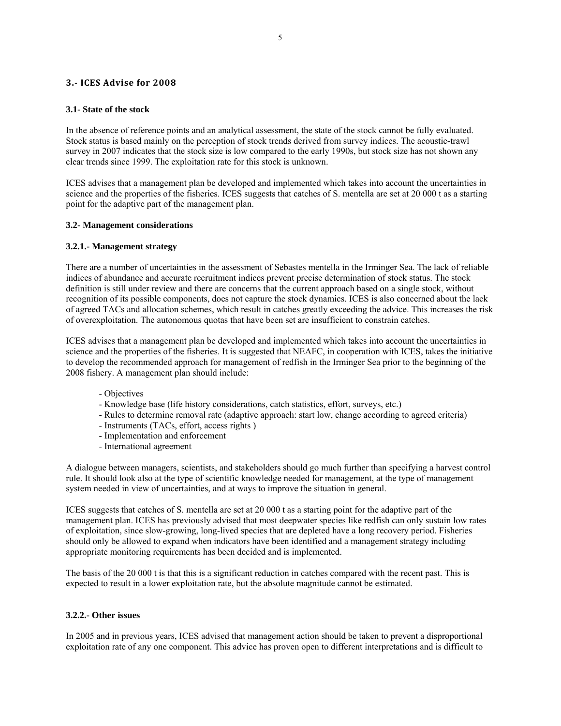## **3. ICES Advise for 2008**

### **3.1- State of the stock**

In the absence of reference points and an analytical assessment, the state of the stock cannot be fully evaluated. Stock status is based mainly on the perception of stock trends derived from survey indices. The acoustic-trawl survey in 2007 indicates that the stock size is low compared to the early 1990s, but stock size has not shown any clear trends since 1999. The exploitation rate for this stock is unknown.

ICES advises that a management plan be developed and implemented which takes into account the uncertainties in science and the properties of the fisheries. ICES suggests that catches of S. mentella are set at 20 000 t as a starting point for the adaptive part of the management plan.

## **3.2- Management considerations**

## **3.2.1.- Management strategy**

There are a number of uncertainties in the assessment of Sebastes mentella in the Irminger Sea. The lack of reliable indices of abundance and accurate recruitment indices prevent precise determination of stock status. The stock definition is still under review and there are concerns that the current approach based on a single stock, without recognition of its possible components, does not capture the stock dynamics. ICES is also concerned about the lack of agreed TACs and allocation schemes, which result in catches greatly exceeding the advice. This increases the risk of overexploitation. The autonomous quotas that have been set are insufficient to constrain catches.

ICES advises that a management plan be developed and implemented which takes into account the uncertainties in science and the properties of the fisheries. It is suggested that NEAFC, in cooperation with ICES, takes the initiative to develop the recommended approach for management of redfish in the Irminger Sea prior to the beginning of the 2008 fishery. A management plan should include:

- Objectives
- Knowledge base (life history considerations, catch statistics, effort, surveys, etc.)
- Rules to determine removal rate (adaptive approach: start low, change according to agreed criteria)
- Instruments (TACs, effort, access rights )
- Implementation and enforcement
- International agreement

A dialogue between managers, scientists, and stakeholders should go much further than specifying a harvest control rule. It should look also at the type of scientific knowledge needed for management, at the type of management system needed in view of uncertainties, and at ways to improve the situation in general.

ICES suggests that catches of S. mentella are set at 20 000 t as a starting point for the adaptive part of the management plan. ICES has previously advised that most deepwater species like redfish can only sustain low rates of exploitation, since slow-growing, long-lived species that are depleted have a long recovery period. Fisheries should only be allowed to expand when indicators have been identified and a management strategy including appropriate monitoring requirements has been decided and is implemented.

The basis of the 20 000 t is that this is a significant reduction in catches compared with the recent past. This is expected to result in a lower exploitation rate, but the absolute magnitude cannot be estimated.

### **3.2.2.- Other issues**

In 2005 and in previous years, ICES advised that management action should be taken to prevent a disproportional exploitation rate of any one component. This advice has proven open to different interpretations and is difficult to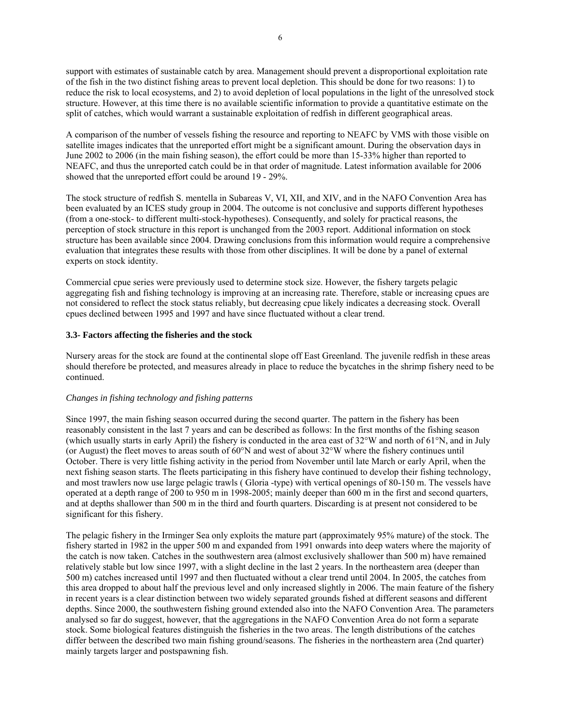support with estimates of sustainable catch by area. Management should prevent a disproportional exploitation rate of the fish in the two distinct fishing areas to prevent local depletion. This should be done for two reasons: 1) to reduce the risk to local ecosystems, and 2) to avoid depletion of local populations in the light of the unresolved stock structure. However, at this time there is no available scientific information to provide a quantitative estimate on the split of catches, which would warrant a sustainable exploitation of redfish in different geographical areas.

A comparison of the number of vessels fishing the resource and reporting to NEAFC by VMS with those visible on satellite images indicates that the unreported effort might be a significant amount. During the observation days in June 2002 to 2006 (in the main fishing season), the effort could be more than 15-33% higher than reported to NEAFC, and thus the unreported catch could be in that order of magnitude. Latest information available for 2006 showed that the unreported effort could be around 19 - 29%.

The stock structure of redfish S. mentella in Subareas V, VI, XII, and XIV, and in the NAFO Convention Area has been evaluated by an ICES study group in 2004. The outcome is not conclusive and supports different hypotheses (from a one-stock- to different multi-stock-hypotheses). Consequently, and solely for practical reasons, the perception of stock structure in this report is unchanged from the 2003 report. Additional information on stock structure has been available since 2004. Drawing conclusions from this information would require a comprehensive evaluation that integrates these results with those from other disciplines. It will be done by a panel of external experts on stock identity.

Commercial cpue series were previously used to determine stock size. However, the fishery targets pelagic aggregating fish and fishing technology is improving at an increasing rate. Therefore, stable or increasing cpues are not considered to reflect the stock status reliably, but decreasing cpue likely indicates a decreasing stock. Overall cpues declined between 1995 and 1997 and have since fluctuated without a clear trend.

### **3.3- Factors affecting the fisheries and the stock**

Nursery areas for the stock are found at the continental slope off East Greenland. The juvenile redfish in these areas should therefore be protected, and measures already in place to reduce the bycatches in the shrimp fishery need to be continued.

#### *Changes in fishing technology and fishing patterns*

Since 1997, the main fishing season occurred during the second quarter. The pattern in the fishery has been reasonably consistent in the last 7 years and can be described as follows: In the first months of the fishing season (which usually starts in early April) the fishery is conducted in the area east of 32°W and north of 61°N, and in July (or August) the fleet moves to areas south of 60°N and west of about 32°W where the fishery continues until October. There is very little fishing activity in the period from November until late March or early April, when the next fishing season starts. The fleets participating in this fishery have continued to develop their fishing technology, and most trawlers now use large pelagic trawls ( Gloria -type) with vertical openings of 80-150 m. The vessels have operated at a depth range of 200 to 950 m in 1998-2005; mainly deeper than 600 m in the first and second quarters, and at depths shallower than 500 m in the third and fourth quarters. Discarding is at present not considered to be significant for this fishery.

The pelagic fishery in the Irminger Sea only exploits the mature part (approximately 95% mature) of the stock. The fishery started in 1982 in the upper 500 m and expanded from 1991 onwards into deep waters where the majority of the catch is now taken. Catches in the southwestern area (almost exclusively shallower than 500 m) have remained relatively stable but low since 1997, with a slight decline in the last 2 years. In the northeastern area (deeper than 500 m) catches increased until 1997 and then fluctuated without a clear trend until 2004. In 2005, the catches from this area dropped to about half the previous level and only increased slightly in 2006. The main feature of the fishery in recent years is a clear distinction between two widely separated grounds fished at different seasons and different depths. Since 2000, the southwestern fishing ground extended also into the NAFO Convention Area. The parameters analysed so far do suggest, however, that the aggregations in the NAFO Convention Area do not form a separate stock. Some biological features distinguish the fisheries in the two areas. The length distributions of the catches differ between the described two main fishing ground/seasons. The fisheries in the northeastern area (2nd quarter) mainly targets larger and postspawning fish.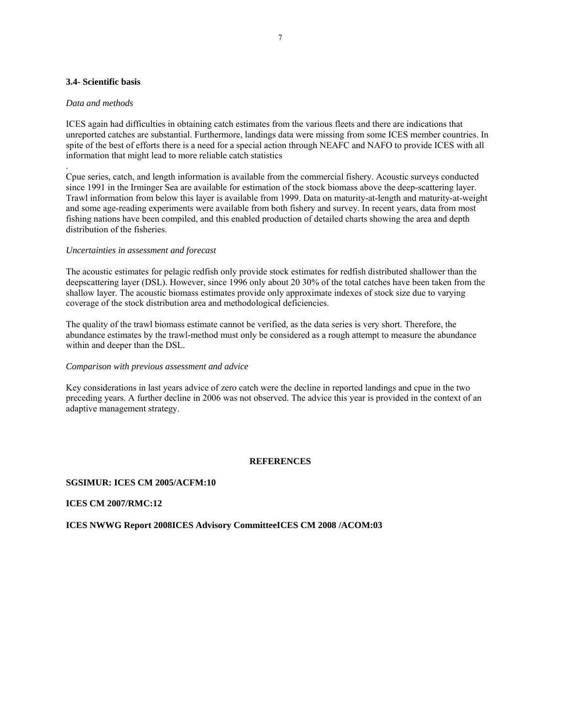### **3.4- Scientific basis**

#### *Data and methods*

.

ICES again had difficulties in obtaining catch estimates from the various fleets and there are indications that unreported catches are substantial. Furthermore, landings data were missing from some ICES member countries. In spite of the best of efforts there is a need for a special action through NEAFC and NAFO to provide ICES with all information that might lead to more reliable catch statistics

Cpue series, catch, and length information is available from the commercial fishery. Acoustic surveys conducted since 1991 in the Irminger Sea are available for estimation of the stock biomass above the deep-scattering layer. Trawl information from below this layer is available from 1999. Data on maturity-at-length and maturity-at-weight and some age-reading experiments were available from both fishery and survey. In recent years, data from most fishing nations have been compiled, and this enabled production of detailed charts showing the area and depth distribution of the fisheries.

#### *Uncertainties in assessment and forecast*

The acoustic estimates for pelagic redfish only provide stock estimates for redfish distributed shallower than the deepscattering layer (DSL). However, since 1996 only about 20 30% of the total catches have been taken from the shallow layer. The acoustic biomass estimates provide only approximate indexes of stock size due to varying coverage of the stock distribution area and methodological deficiencies.

The quality of the trawl biomass estimate cannot be verified, as the data series is very short. Therefore, the abundance estimates by the trawl-method must only be considered as a rough attempt to measure the abundance within and deeper than the DSL.

#### *Comparison with previous assessment and advice*

Key considerations in last years advice of zero catch were the decline in reported landings and cpue in the two preceding years. A further decline in 2006 was not observed. The advice this year is provided in the context of an adaptive management strategy.

# **REFERENCES**

#### **SGSIMUR: ICES CM 2005/ACFM:10**

**ICES CM 2007/RMC:12** 

**ICES NWWG Report 2008ICES Advisory CommitteeICES CM 2008 /ACOM:03**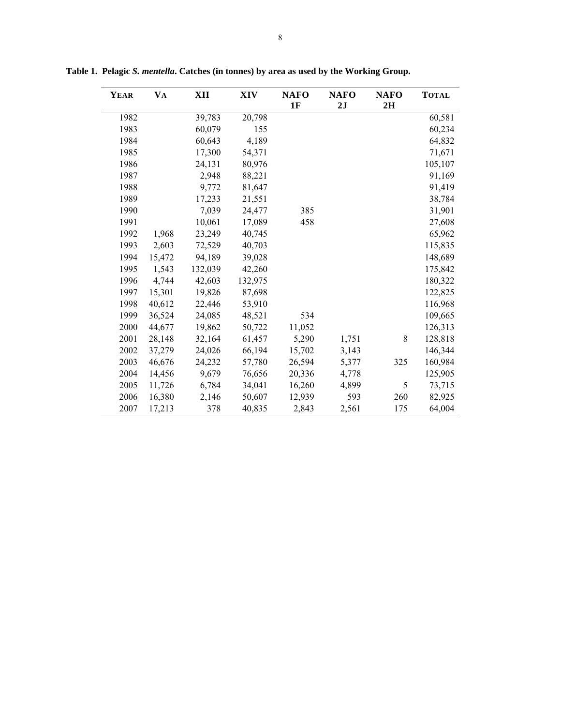| <b>YEAR</b> | <b>VA</b> | XII     | <b>XIV</b> | <b>NAFO</b><br>1F | <b>NAFO</b><br>2J | <b>NAFO</b><br>2H | <b>TOTAL</b> |
|-------------|-----------|---------|------------|-------------------|-------------------|-------------------|--------------|
| 1982        |           | 39,783  | 20,798     |                   |                   |                   | 60,581       |
| 1983        |           | 60,079  | 155        |                   |                   |                   | 60,234       |
| 1984        |           | 60,643  | 4,189      |                   |                   |                   | 64,832       |
| 1985        |           | 17,300  | 54,371     |                   |                   |                   | 71,671       |
| 1986        |           | 24,131  | 80,976     |                   |                   |                   | 105,107      |
| 1987        |           | 2,948   | 88,221     |                   |                   |                   | 91,169       |
| 1988        |           | 9,772   | 81,647     |                   |                   |                   | 91,419       |
| 1989        |           | 17,233  | 21,551     |                   |                   |                   | 38,784       |
| 1990        |           | 7,039   | 24,477     | 385               |                   |                   | 31,901       |
| 1991        |           | 10,061  | 17,089     | 458               |                   |                   | 27,608       |
| 1992        | 1,968     | 23,249  | 40,745     |                   |                   |                   | 65,962       |
| 1993        | 2,603     | 72,529  | 40,703     |                   |                   |                   | 115,835      |
| 1994        | 15,472    | 94,189  | 39,028     |                   |                   |                   | 148,689      |
| 1995        | 1,543     | 132,039 | 42,260     |                   |                   |                   | 175,842      |
| 1996        | 4,744     | 42,603  | 132,975    |                   |                   |                   | 180,322      |
| 1997        | 15,301    | 19,826  | 87,698     |                   |                   |                   | 122,825      |
| 1998        | 40,612    | 22,446  | 53,910     |                   |                   |                   | 116,968      |
| 1999        | 36,524    | 24,085  | 48,521     | 534               |                   |                   | 109,665      |
| 2000        | 44,677    | 19,862  | 50,722     | 11,052            |                   |                   | 126,313      |
| 2001        | 28,148    | 32,164  | 61,457     | 5,290             | 1,751             | 8                 | 128,818      |
| 2002        | 37,279    | 24,026  | 66,194     | 15,702            | 3,143             |                   | 146,344      |
| 2003        | 46,676    | 24,232  | 57,780     | 26,594            | 5,377             | 325               | 160,984      |
| 2004        | 14,456    | 9,679   | 76,656     | 20,336            | 4,778             |                   | 125,905      |
| 2005        | 11,726    | 6,784   | 34,041     | 16,260            | 4,899             | 5                 | 73,715       |
| 2006        | 16,380    | 2,146   | 50,607     | 12,939            | 593               | 260               | 82,925       |
| 2007        | 17,213    | 378     | 40,835     | 2,843             | 2,561             | 175               | 64,004       |

**Table 1. Pelagic** *S. mentella***. Catches (in tonnes) by area as used by the Working Group.**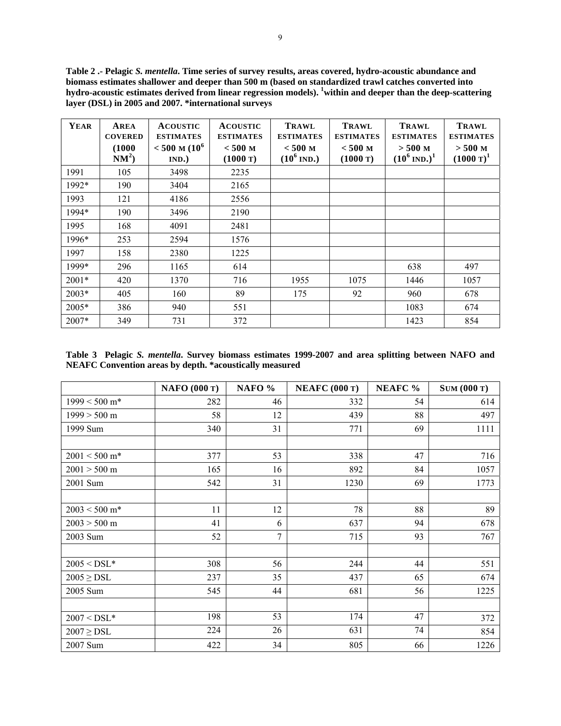**Table 2 .- Pelagic** *S. mentella***. Time series of survey results, areas covered, hydro-acoustic abundance and biomass estimates shallower and deeper than 500 m (based on standardized trawl catches converted into hydro-acoustic estimates derived from linear regression models). 1 within and deeper than the deep-scattering layer (DSL) in 2005 and 2007. \*international surveys**

| YEAR    | AREA<br><b>COVERED</b><br>(1000)<br>$NM^2$ | <b>ACOUSTIC</b><br><b>ESTIMATES</b><br>$< 500$ M (10 <sup>6</sup> )<br>IND.) | <b>ACOUSTIC</b><br><b>ESTIMATES</b><br>$< 500$ M<br>(1000 T) | <b>TRAWL</b><br><b>ESTIMATES</b><br>$< 500$ M<br>$(10^6 \text{ IND.})$ | <b>TRAWL</b><br><b>ESTIMATES</b><br>$< 500$ M<br>(1000 T) | <b>TRAWL</b><br><b>ESTIMATES</b><br>$> 500$ M<br>$(10^6 \text{ IND.})^1$ | <b>TRAWL</b><br><b>ESTIMATES</b><br>$> 500$ M<br>$(1000 \text{ T})^1$ |
|---------|--------------------------------------------|------------------------------------------------------------------------------|--------------------------------------------------------------|------------------------------------------------------------------------|-----------------------------------------------------------|--------------------------------------------------------------------------|-----------------------------------------------------------------------|
| 1991    | 105                                        | 3498                                                                         | 2235                                                         |                                                                        |                                                           |                                                                          |                                                                       |
| 1992*   | 190                                        | 3404                                                                         | 2165                                                         |                                                                        |                                                           |                                                                          |                                                                       |
| 1993    | 121                                        | 4186                                                                         | 2556                                                         |                                                                        |                                                           |                                                                          |                                                                       |
| 1994*   | 190                                        | 3496                                                                         | 2190                                                         |                                                                        |                                                           |                                                                          |                                                                       |
| 1995    | 168                                        | 4091                                                                         | 2481                                                         |                                                                        |                                                           |                                                                          |                                                                       |
| 1996*   | 253                                        | 2594                                                                         | 1576                                                         |                                                                        |                                                           |                                                                          |                                                                       |
| 1997    | 158                                        | 2380                                                                         | 1225                                                         |                                                                        |                                                           |                                                                          |                                                                       |
| 1999*   | 296                                        | 1165                                                                         | 614                                                          |                                                                        |                                                           | 638                                                                      | 497                                                                   |
| $2001*$ | 420                                        | 1370                                                                         | 716                                                          | 1955                                                                   | 1075                                                      | 1446                                                                     | 1057                                                                  |
| $2003*$ | 405                                        | 160                                                                          | 89                                                           | 175                                                                    | 92                                                        | 960                                                                      | 678                                                                   |
| 2005*   | 386                                        | 940                                                                          | 551                                                          |                                                                        |                                                           | 1083                                                                     | 674                                                                   |
| $2007*$ | 349                                        | 731                                                                          | 372                                                          |                                                                        |                                                           | 1423                                                                     | 854                                                                   |

**Table 3 Pelagic** *S. mentella***. Survey biomass estimates 1999-2007 and area splitting between NAFO and NEAFC Convention areas by depth. \*acoustically measured** 

|                 | <b>NAFO</b> (000 T) | NAFO % | <b>NEAFC</b> (000 T) | <b>NEAFC %</b> | <b>SUM (000 T)</b> |
|-----------------|---------------------|--------|----------------------|----------------|--------------------|
| $1999 < 500$ m* | 282                 | 46     | 332                  | 54             | 614                |
| $1999 > 500$ m  | 58                  | 12     | 439                  | 88             | 497                |
| 1999 Sum        | 340                 | 31     | 771                  | 69             | 1111               |
|                 |                     |        |                      |                |                    |
| $2001 < 500$ m* | 377                 | 53     | 338                  | 47             | 716                |
| $2001 > 500$ m  | 165                 | 16     | 892                  | 84             | 1057               |
| 2001 Sum        | 542                 | 31     | 1230                 | 69             | 1773               |
|                 |                     |        |                      |                |                    |
| $2003 < 500$ m* | 11                  | 12     | 78                   | 88             | 89                 |
| $2003 > 500$ m  | 41                  | 6      | 637                  | 94             | 678                |
| 2003 Sum        | 52                  | 7      | 715                  | 93             | 767                |
|                 |                     |        |                      |                |                    |
| $2005 <$ DSL*   | 308                 | 56     | 244                  | 44             | 551                |
| $2005 \geq DSL$ | 237                 | 35     | 437                  | 65             | 674                |
| 2005 Sum        | 545                 | 44     | 681                  | 56             | 1225               |
|                 |                     |        |                      |                |                    |
| $2007 <$ DSL*   | 198                 | 53     | 174                  | 47             | 372                |
| $2007 \geq DSL$ | 224                 | 26     | 631                  | 74             | 854                |
| 2007 Sum        | 422                 | 34     | 805                  | 66             | 1226               |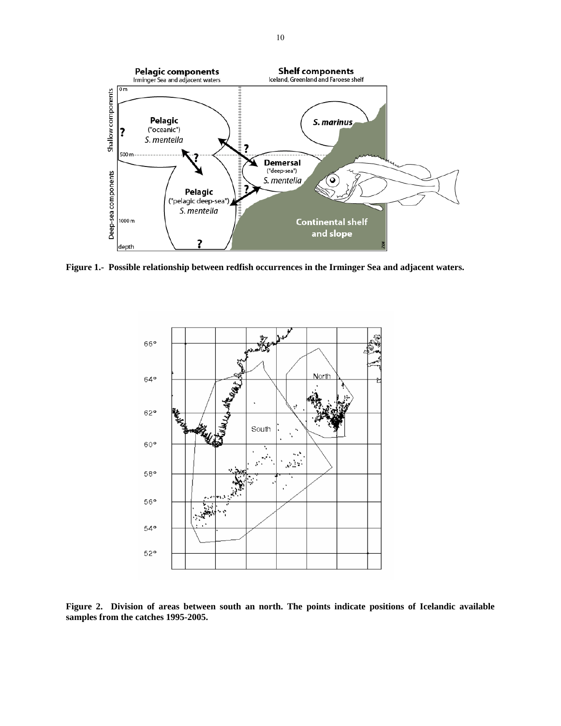

**Figure 1.- Possible relationship between redfish occurrences in the Irminger Sea and adjacent waters.** 



**Figure 2. Division of areas between south an north. The points indicate positions of Icelandic available samples from the catches 1995-2005.**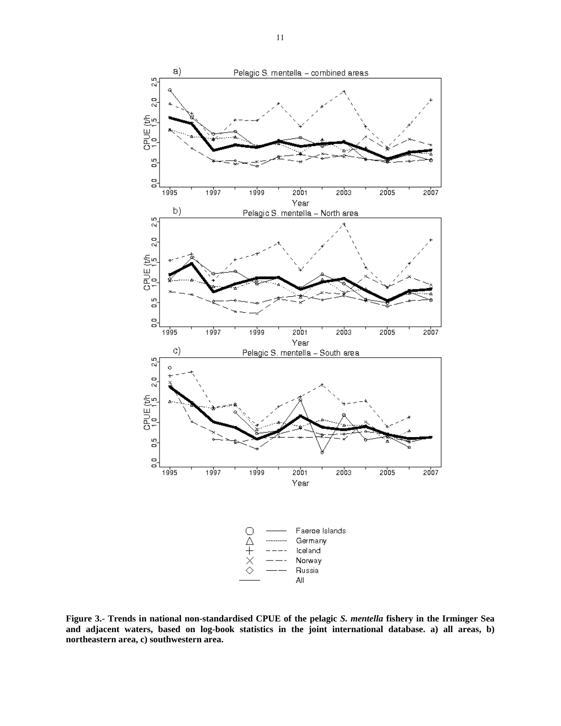

**Figure 3.- Trends in national non-standardised CPUE of the pelagic** *S. mentella* **fishery in the Irminger Sea and adjacent waters, based on log-book statistics in the joint international database. a) all areas, b) northeastern area, c) southwestern area.**